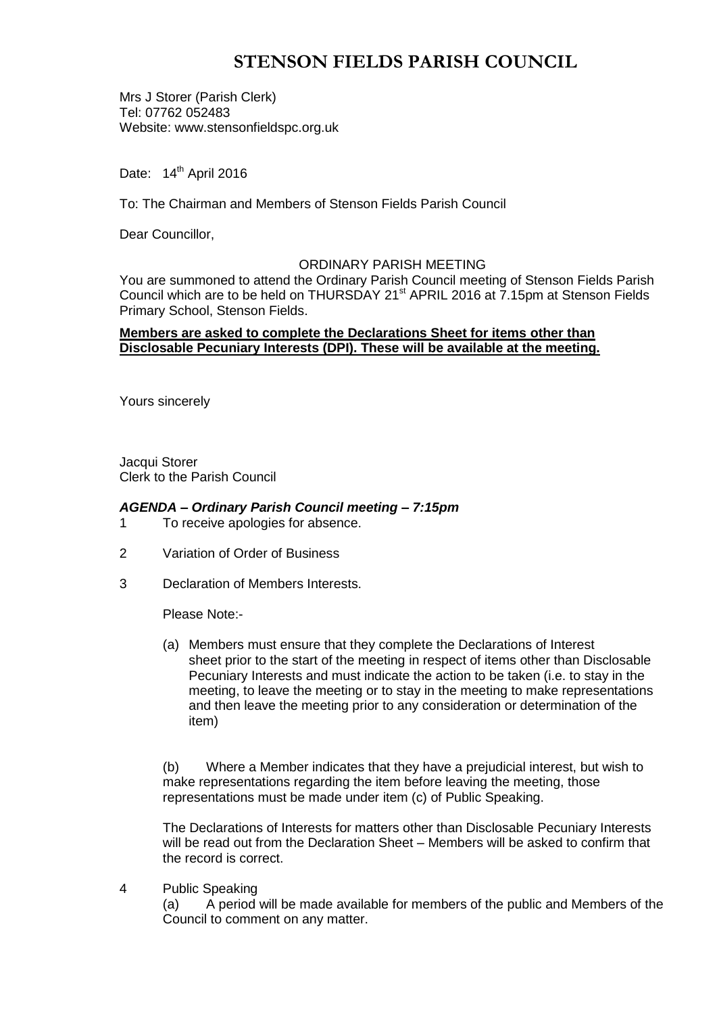# **STENSON FIELDS PARISH COUNCIL**

Mrs J Storer (Parish Clerk) Tel: 07762 052483 Website: www.stensonfieldspc.org.uk

Date: 14<sup>th</sup> April 2016

To: The Chairman and Members of Stenson Fields Parish Council

Dear Councillor,

### ORDINARY PARISH MEETING

You are summoned to attend the Ordinary Parish Council meeting of Stenson Fields Parish Council which are to be held on THURSDAY 21<sup>st</sup> APRIL 2016 at 7.15pm at Stenson Fields Primary School, Stenson Fields.

### **Members are asked to complete the Declarations Sheet for items other than Disclosable Pecuniary Interests (DPI). These will be available at the meeting.**

Yours sincerely

Jacqui Storer Clerk to the Parish Council

### *AGENDA – Ordinary Parish Council meeting – 7:15pm*

- 1 To receive apologies for absence.
- 2 Variation of Order of Business
- 3 Declaration of Members Interests.

Please Note:-

(a) Members must ensure that they complete the Declarations of Interest sheet prior to the start of the meeting in respect of items other than Disclosable Pecuniary Interests and must indicate the action to be taken (i.e. to stay in the meeting, to leave the meeting or to stay in the meeting to make representations and then leave the meeting prior to any consideration or determination of the item)

(b) Where a Member indicates that they have a prejudicial interest, but wish to make representations regarding the item before leaving the meeting, those representations must be made under item (c) of Public Speaking.

The Declarations of Interests for matters other than Disclosable Pecuniary Interests will be read out from the Declaration Sheet – Members will be asked to confirm that the record is correct.

4 Public Speaking

(a) A period will be made available for members of the public and Members of the Council to comment on any matter.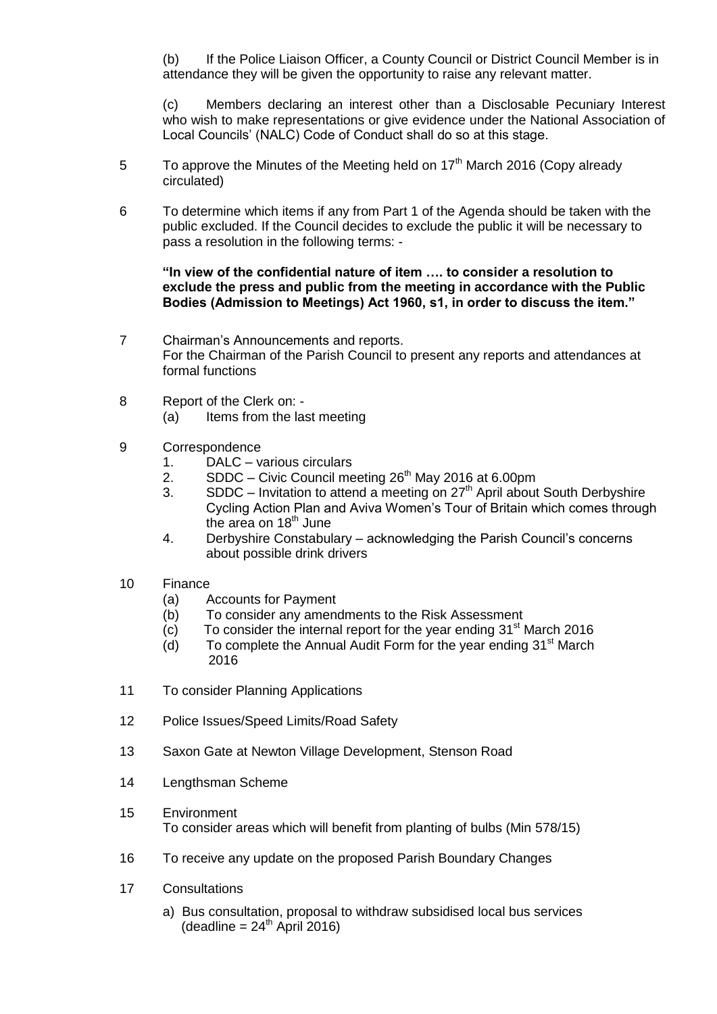(b) If the Police Liaison Officer, a County Council or District Council Member is in attendance they will be given the opportunity to raise any relevant matter.

(c) Members declaring an interest other than a Disclosable Pecuniary Interest who wish to make representations or give evidence under the National Association of Local Councils' (NALC) Code of Conduct shall do so at this stage.

- 5 To approve the Minutes of the Meeting held on  $17<sup>th</sup>$  March 2016 (Copy already circulated)
- 6 To determine which items if any from Part 1 of the Agenda should be taken with the public excluded. If the Council decides to exclude the public it will be necessary to pass a resolution in the following terms: -

### **"In view of the confidential nature of item …. to consider a resolution to exclude the press and public from the meeting in accordance with the Public Bodies (Admission to Meetings) Act 1960, s1, in order to discuss the item."**

- 7 Chairman's Announcements and reports. For the Chairman of the Parish Council to present any reports and attendances at formal functions
- 8 Report of the Clerk on: (a) Items from the last meeting
- 9 Correspondence
	- 1. DALC various circulars
	- 2. SDDC Civic Council meeting  $26<sup>th</sup>$  May 2016 at 6.00pm
	- 3. SDDC Invitation to attend a meeting on  $27<sup>th</sup>$  April about South Derbyshire Cycling Action Plan and Aviva Women's Tour of Britain which comes through the area on 18<sup>th</sup> June
	- 4. Derbyshire Constabulary acknowledging the Parish Council's concerns about possible drink drivers
- 10 Finance
	- (a) Accounts for Payment
	- (b) To consider any amendments to the Risk Assessment
	- $(c)$  To consider the internal report for the year ending 31<sup>st</sup> March 2016
	- $(d)$  To complete the Annual Audit Form for the year ending 31<sup>st</sup> March 2016
- 11 To consider Planning Applications
- 12 Police Issues/Speed Limits/Road Safety
- 13 Saxon Gate at Newton Village Development, Stenson Road
- 14 Lengthsman Scheme
- 15 Environment To consider areas which will benefit from planting of bulbs (Min 578/15)
- 16 To receive any update on the proposed Parish Boundary Changes
- 17 Consultations
	- a) Bus consultation, proposal to withdraw subsidised local bus services  $(deadline = 24<sup>th</sup>$  April 2016)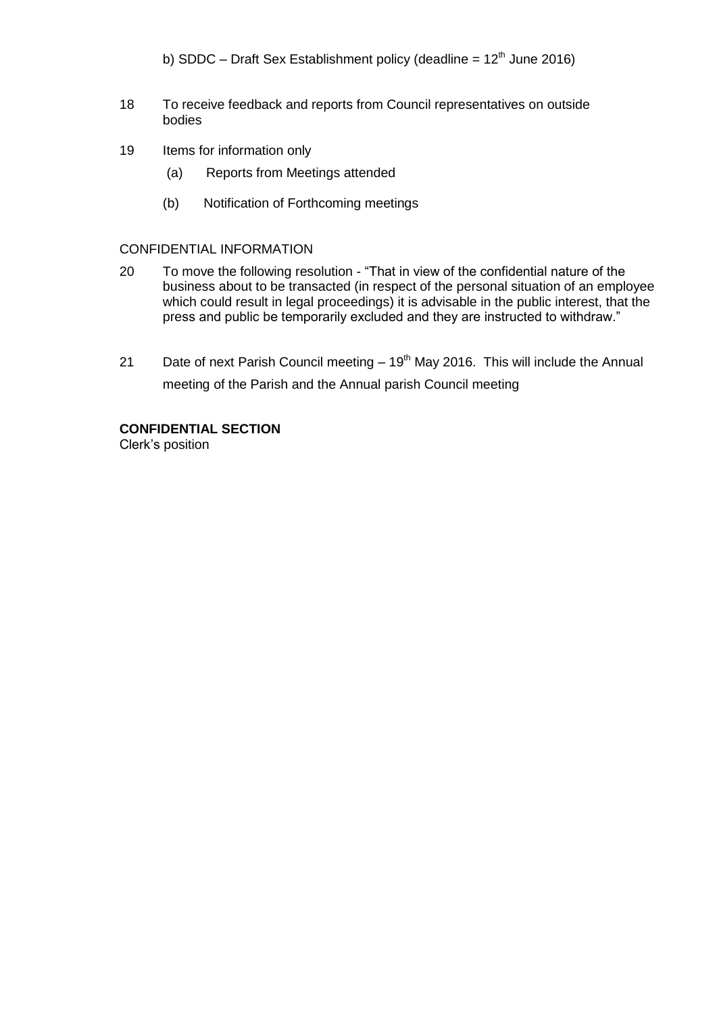- b) SDDC Draft Sex Establishment policy (deadline =  $12<sup>th</sup>$  June 2016)
- 18 To receive feedback and reports from Council representatives on outside bodies
- 19 Items for information only
	- (a) Reports from Meetings attended
	- (b) Notification of Forthcoming meetings

#### CONFIDENTIAL INFORMATION

- 20 To move the following resolution "That in view of the confidential nature of the business about to be transacted (in respect of the personal situation of an employee which could result in legal proceedings) it is advisable in the public interest, that the press and public be temporarily excluded and they are instructed to withdraw."
- 21 Date of next Parish Council meeting  $-19<sup>th</sup>$  May 2016. This will include the Annual meeting of the Parish and the Annual parish Council meeting

## **CONFIDENTIAL SECTION**

Clerk's position